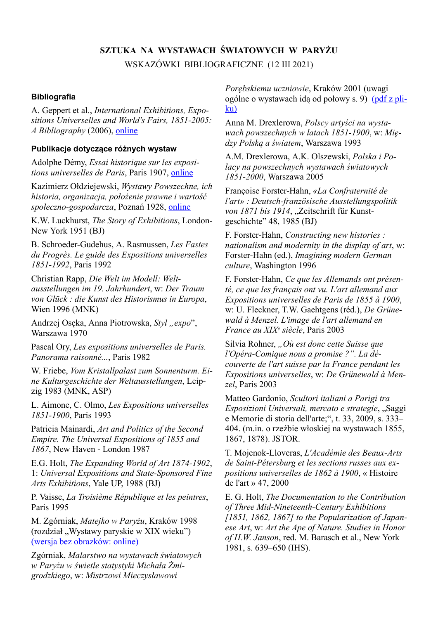# **SZTUKA NA WYSTAWACH ŚWIATOWYCH W PARYŻU** WSKAZÓWKI BIBLIOGRAFICZNE (12 III 2021)

#### **Bibliografia**

A. Geppert et al., *International Exhibitions, Expositions Universelles and World's Fairs, 1851-2005: A Bibliography* (2006), [online](https://www.geschkult.fu-berlin.de/e/fmi/astrofuturismus/publikationen/Geppert_-_Expo_bibliography_3ed.pdf)

#### **Publikacje dotyczące różnych wystaw**

Adolphe Démy, *Essai historique sur les expositions universelles de Paris*, Paris 1907, [online](https://gallica.bnf.fr/ark:/12148/bpt6k5497478z.texteImage)

Kazimierz Ołdziejewski, *Wystawy Powszechne, ich historia, organizacja, położenie prawne i wartość społeczno-gospodarcza*, Poznań 1928, [online](https://www.wbc.poznan.pl/dlibra/publication/137014/edition/148778/content)

K.W. Luckhurst, *The Story of Exhibitions*, London-New York 1951 (BJ)

B. Schroeder-Gudehus, A. Rasmussen, *Les Fastes du Progrès. Le guide des Expositions universelles 1851-1992*, Paris 1992

Christian Rapp, *Die Welt im Modell: Weltausstellungen im 19. Jahrhundert*, w: *Der Traum von Glück : die Kunst des Historismus in Europa*, Wien 1996 (MNK)

Andrzej Osęka, Anna Piotrowska, *Styl* "*expo*", Warszawa 1970

Pascal Ory, *Les expositions universelles de Paris. Panorama raisonné...*, Paris 1982

W. Friebe, *Vom Kristallpalast zum Sonnenturm. Eine Kulturgeschichte der Weltausstellungen*, Leipzig 1983 (MNK, ASP)

L. Aimone, C. Olmo, *Les Expositions universelles 1851-1900*, Paris 1993

Patricia Mainardi, *Art and Politics of the Second Empire. The Universal Expositions of 1855 and 1867*, New Haven - London 1987

E.G. Holt, *The Expanding World of Art 1874-1902*, 1: *Universal Expositions and State-Sponsored Fine Arts Exhibitions*, Yale UP, 1988 (BJ)

P. Vaisse, *La Troisième République et les peintres*, Paris 1995

M. Zgórniak, *Matejko w Paryżu*, Kraków 1998 (rozdział "Wystawy paryskie w XIX wieku") (wersja bez [obrazków:](http://users.uj.edu.pl/~zgorniak/skany/Zgorniak_1998-2020_Matejko_bez_ilustracji.pdf) online)

Zgórniak, *Malarstwo na wystawach światowych w Paryżu w świetle statystyki Michała Żmigrodzkiego*, w: *Mistrzowi Mieczysławowi*

*Porębskiemu uczniowie*, Kraków 2001 (uwagi ogólne o wystawach idą od połowy s. 9) [\(p](http://users.uj.edu.pl/~zgorniak/publikacje/Zgorniak_2001_Zmigrodzki_o_wystawach.pdf)df z [pli](http://users.uj.edu.pl/~zgorniak/publikacje/Zgorniak_2001_Zmigrodzki_o_wystawach.pdf)[ku\)](http://users.uj.edu.pl/~zgorniak/publikacje/Zgorniak_2001_Zmigrodzki_o_wystawach.pdf)

Anna M. Drexlerowa, *Polscy artyści na wystawach powszechnych w latach 1851-1900*, w: *Między Polską a światem*, Warszawa 1993

A.M. Drexlerowa, A.K. Olszewski, *Polska i Polacy na powszechnych wystawach światowych 1851-2000*, Warszawa 2005

Françoise Forster-Hahn, *«La Confraternité de l'art» : Deutsch-französische Ausstellungspolitik von 1871 bis 1914*, "Zeitschrift für Kunstgeschichte" 48, 1985 (BJ)

F. Forster-Hahn, *Constructing new histories : nationalism and modernity in the display of art*, w: Forster-Hahn (ed.), *Imagining modern German culture*, Washington 1996

F. Forster-Hahn, *Ce que les Allemands ont présenté, ce que les français ont vu. L'art allemand aux Expositions universelles de Paris de 1855 à 1900*, w: U. Fleckner, T.W. Gaehtgens (réd.), *De Grünewald à Menzel. L'image de l'art allemand en France au XIX<sup>e</sup> siècle*, Paris 2003

Silvia Rohner, *"Où est donc cette Suisse que l'Opéra-Comique nous a promise ?". La découverte de l'art suisse par la France pendant les Expositions universelles*, w: *De Grünewald à Menzel*, Paris 2003

Matteo Gardonio, *Scultori italiani a Parigi tra Esposizioni Universali, mercato e strategie*, "Saggi e Memorie di storia dell'arte;", t. 33, 2009, s. 333– 404. (m.in. o rzeźbie włoskiej na wystawach 1855, 1867, 1878). JSTOR.

T. Mojenok-Lloveras, *L'Académie des Beaux-Arts de Saint-Pétersburg et les sections russes aux expositions universelles de 1862 à 1900*, « Histoire de l'art » 47, 2000

E. G. Holt, *The Documentation to the Contribution of Three Mid-Nineteenth-Century Exhibitions [1851, 1862, 1867] to the Popularization of Japanese Art*, w: *Art the Ape of Nature. Studies in Honor of H.W. Janson*, red. M. Barasch et al., New York 1981, s. 639–650 (IHS).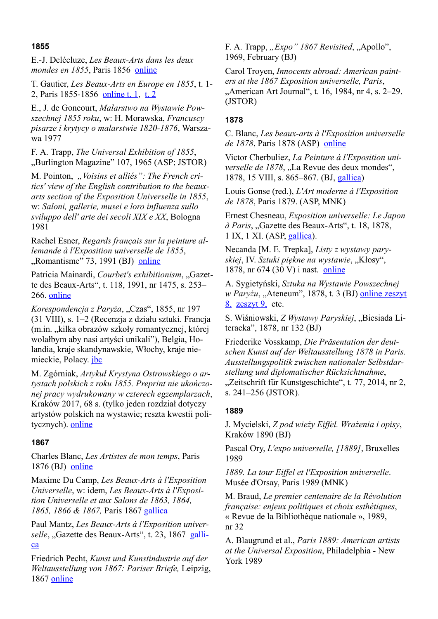## **1855**

E.-J. Delécluze, *Les Beaux-Arts dans les deux mondes en 1855*, Paris 1856 [online](https://gallica.bnf.fr/ark:/12148/bpt6k6536273p.texteImage)

T. Gautier, *Les Beaux-Arts en Europe en 1855*, t. 1- 2, Paris 1855-1856 [online](https://gallica.bnf.fr/ark:/12148/bpt6k1269893h.texteImage) t. 1, [t.](https://gallica.bnf.fr/ark:/12148/bpt6k111395m.texteImage) 2

E., J. de Goncourt, *Malarstwo na Wystawie Powszechnej 1855 roku*, w: H. Morawska, *Francuscy pisarze i krytycy o malarstwie 1820-1876*, Warszawa 1977

F. A. Trapp, *The Universal Exhibition of 1855*, "Burlington Magazine" 107, 1965 (ASP; JSTOR)

M. Pointon, *"Voisins et alliés": The French critics' view of the English contribution to the beauxarts section of the Exposition Universelle in 1855*, w: *Saloni, gallerie, musei e loro influenza sullo sviluppo dell' arte dei secoli XIX e XX*, Bologna 1981

Rachel Esner, *Regards français sur la peinture allemande à l'Exposition universelle de 1855*, "Romantisme" 73, 1991 (BJ) [online](https://www.persee.fr/doc/roman_0048-8593_1991_num_21_73_5786)

Patricia Mainardi, *Courbet's exhibitionism*, "Gazette des Beaux-Arts", t. 118, 1991, nr 1475, s. 253– 266. [online](http://faculty.winthrop.edu/stockk/Modernism/mainardi courbet.pdf)

*Korespondencja z Paryża*, "Czas", 1855, nr 197 (31 VIII), s. 1–2 (Recenzja z działu sztuki. Francja (m.in. "kilka obrazów szkoły romantycznej, której wolałbym aby nasi artyści unikali"), Belgia, Holandia, kraje skandynawskie, Włochy, kraje niemieckie, Polacy. [jbc](https://jbc.bj.uj.edu.pl/dlibra/publication/476513#structure)

M. Zgórniak, *Artykuł Krystyna Ostrowskiego o artystach polskich z roku 1855. Preprint nie ukończonej pracy wydrukowany w czterech egzemplarzach*, Kraków 2017, 68 s. (tylko jeden rozdział dotyczy artystów polskich na wystawie; reszta kwestii politycznych). **[online](https://users.uj.edu.pl/~zgorniak/publikacje/Krystyn_Ostrowski.html)** 

#### **1867**

Charles Blanc, *Les Artistes de mon temps*, Paris 1876 (BJ) [online](https://gallica.bnf.fr/ark:/12148/bpt6k9690685x.texteImage)

Maxime Du Camp, *Les Beaux-Arts à l'Exposition Universelle*, w: idem, *Les Beaux-Arts à l'Exposition Universelle et aux Salons de 1863, 1864, 1865, 1866 & 1867,* Paris 1867 [gallica](https://gallica.bnf.fr/ark:/12148/bpt6k1148560.texteImage)

Paul Mantz, *Les Beaux-Arts à l'Exposition univer*selle, "Gazette des Beaux-Arts", t. 23, 1867 [galli](https://gallica.bnf.fr/ark:/12148/cb343486585/date)[ca](https://gallica.bnf.fr/ark:/12148/cb343486585/date)

Friedrich Pecht, *Kunst und Kunstindustrie auf der Weltausstellung von 1867: Pariser Briefe,* Leipzig, 1867 [online](https://digi.ub.uni-heidelberg.de/diglit/pecht1867)

F. A. Trapp, *"Expo" 1867 Revisited*, "Apollo", 1969, February (BJ)

Carol Troyen, *Innocents abroad: American painters at the 1867 Exposition universelle, Paris*, "American Art Journal", t. 16, 1984, nr 4, s. 2–29. (JSTOR)

# **1878**

C. Blanc, *Les beaux-arts à l'Exposition universelle de 1878*, Paris 1878 (ASP) [online](https://gallica.bnf.fr/ark:/12148/bpt6k65535451.texteImage)

Victor Cherbuliez, *La Peinture à l'Exposition universelle de 1878*, "La Revue des deux mondes", 1878, 15 VIII, s. 865–867. (BJ, [gallica](https://gallica.bnf.fr/ark:/12148/cb32858360p/date))

Louis Gonse (red.), *L'Art moderne à l'Exposition de 1878*, Paris 1879. (ASP, MNK)

Ernest Chesneau, *Exposition universelle: Le Japon à Paris*, "Gazette des Beaux-Arts", t. 18, 1878, 1 IX, 1 XI. (ASP, [gallica](https://gallica.bnf.fr/ark:/12148/cb343486585/date)).

Necanda [M. E. Trepka], *Listy z wystawy paryskiej*, IV. *Sztuki piękne na wystawie*, "Kłosy", 1878, nr 674 (30 V) i nast. [online](https://www.wbc.poznan.pl/dlibra/publication/392405/edition/305423#structure)

A. Sygietyński, *Sztuka na Wystawie Powszechnej w Paryżu*, "Ateneum", 1878, t. 3 (BJ) online [zeszyt](http://buwcd.buw.uw.edu.pl/e_zbiory/ckcp/ateneum/1878/zeszyt08/imagepages/image168.htm) [8,](http://buwcd.buw.uw.edu.pl/e_zbiory/ckcp/ateneum/1878/zeszyt08/imagepages/image168.htm) [zeszyt](http://buwcd.buw.uw.edu.pl/e_zbiory/ckcp/ateneum/1878/zeszyt09/imagepages/image172.htm) 9, etc.

S. Wiśniowski, *Z Wystawy Paryskiej*, "Biesiada Literacka", 1878, nr 132 (BJ)

Friederike Vosskamp, *Die Präsentation der deutschen Kunst auf der Weltausstellung 1878 in Paris. Ausstellungspolitik zwischen nationaler Selbstdarstellung und diplomatischer Rücksichtnahme*, "Zeitschrift für Kunstgeschichte", t. 77, 2014, nr 2, s. 241–256 (JSTOR).

#### **1889**

J. Mycielski, *Z pod wieży Eiffel. Wrażenia i opisy*, Kraków 1890 (BJ)

Pascal Ory, *L'expo universelle, [1889]*, Bruxelles 1989

*1889. La tour Eiffel et l'Exposition universelle*. Musée d'Orsay, Paris 1989 (MNK)

M. Braud, *Le premier centenaire de la Révolution française: enjeux politiques et choix esthétiques*, « Revue de la Bibliothèque nationale », 1989, nr 32

A. Blaugrund et al., *Paris 1889: American artists at the Universal Exposition*, Philadelphia - New York 1989